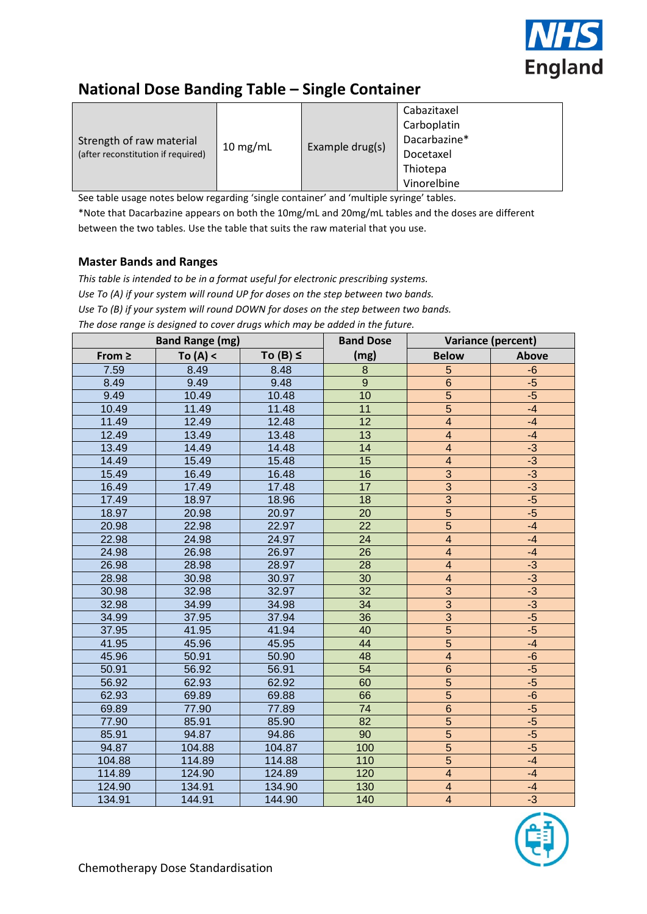

# **National Dose Banding Table – Single Container**

See table usage notes below regarding 'single container' and 'multiple syringe' tables.

\*Note that Dacarbazine appears on both the 10mg/mL and 20mg/mL tables and the doses are different between the two tables. Use the table that suits the raw material that you use.

## **Master Bands and Ranges**

*This table is intended to be in a format useful for electronic prescribing systems. Use To (A) if your system will round UP for doses on the step between two bands. Use To (B) if your system will round DOWN for doses on the step between two bands. The dose range is designed to cover drugs which may be added in the future.*

|             | <b>Band Range (mg)</b> |               | <b>Band Dose</b> |                          | Variance (percent) |
|-------------|------------------------|---------------|------------------|--------------------------|--------------------|
| From $\geq$ | To $(A) <$             | To $(B) \leq$ | (mg)             | <b>Below</b>             | <b>Above</b>       |
| 7.59        | 8.49                   | 8.48          | 8                | 5                        | $-6$               |
| 8.49        | 9.49                   | 9.48          | $\overline{9}$   | $6\phantom{1}6$          | $-5$               |
| 9.49        | 10.49                  | 10.48         | 10               | $\overline{5}$           | $-5$               |
| 10.49       | 11.49                  | 11.48         | 11               | $\overline{5}$           | $-4$               |
| 11.49       | 12.49                  | 12.48         | $\overline{12}$  | $\overline{4}$           | $-4$               |
| 12.49       | 13.49                  | 13.48         | $\overline{13}$  | $\overline{4}$           | $-4$               |
| 13.49       | 14.49                  | 14.48         | 14               | $\overline{\mathbf{4}}$  | $-3$               |
| 14.49       | 15.49                  | 15.48         | 15               | $\overline{4}$           | $-3$               |
| 15.49       | 16.49                  | 16.48         | 16               | $\overline{3}$           | $-3$               |
| 16.49       | 17.49                  | 17.48         | 17               | $\overline{3}$           | $-3$               |
| 17.49       | 18.97                  | 18.96         | 18               |                          | $-5$               |
| 18.97       | 20.98                  | 20.97         | $\overline{20}$  | $\frac{3}{5}$            | $-5$               |
| 20.98       | 22.98                  | 22.97         | $\overline{22}$  | $\overline{5}$           | $-4$               |
| 22.98       | 24.98                  | 24.97         | 24               | $\overline{4}$           | $-4$               |
| 24.98       | 26.98                  | 26.97         | 26               | $\overline{\mathcal{A}}$ | $-4$               |
| 26.98       | 28.98                  | 28.97         | 28               | $\overline{4}$           | $-3$               |
| 28.98       | 30.98                  | 30.97         | 30               | $\overline{4}$           | $-3$               |
| 30.98       | 32.98                  | 32.97         | $\overline{32}$  | $\overline{3}$           | $-3$               |
| 32.98       | 34.99                  | 34.98         | 34               | $\overline{3}$           | $-3$               |
| 34.99       | 37.95                  | 37.94         | 36               | $\overline{3}$           | $-5$               |
| 37.95       | 41.95                  | 41.94         | 40               | $\overline{5}$           | $-5$               |
| 41.95       | 45.96                  | 45.95         | 44               | $\overline{5}$           | $-4$               |
| 45.96       | 50.91                  | 50.90         | 48               | $\overline{\mathbf{4}}$  | $-6$               |
| 50.91       | 56.92                  | 56.91         | $\overline{54}$  | $\overline{6}$           | $-5$               |
| 56.92       | 62.93                  | 62.92         | 60               | $\overline{5}$           | $-5$               |
| 62.93       | 69.89                  | 69.88         | 66               | $\overline{5}$           | $-6$               |
| 69.89       | 77.90                  | 77.89         | 74               | $\overline{6}$           | $-5$               |
| 77.90       | 85.91                  | 85.90         | $\overline{82}$  |                          | $-5$               |
| 85.91       | 94.87                  | 94.86         | 90               | $\frac{5}{5}$            | $-5$               |
| 94.87       | 104.88                 | 104.87        | 100              |                          | $-5$               |
| 104.88      | 114.89                 | 114.88        | 110              | $\overline{5}$           | $-4$               |
| 114.89      | 124.90                 | 124.89        | 120              | $\overline{\mathbf{4}}$  | $-4$               |
| 124.90      | 134.91                 | 134.90        | 130              | $\overline{\mathbf{4}}$  | $-4$               |
| 134.91      | 144.91                 | 144.90        | 140              | $\overline{\mathbf{4}}$  | $-3$               |

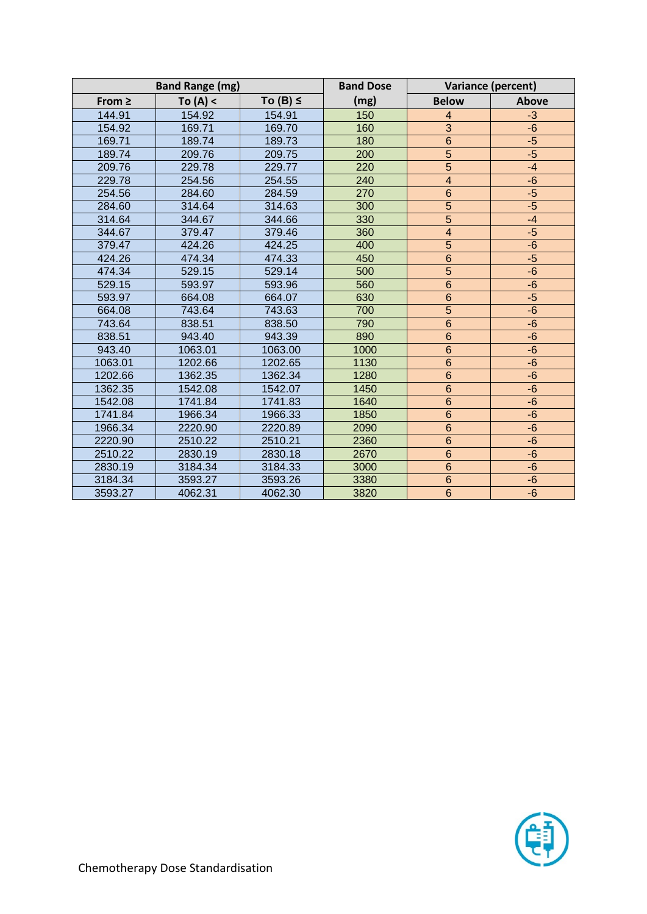|             | <b>Band Range (mg)</b> |               | <b>Band Dose</b> |                 | Variance (percent) |
|-------------|------------------------|---------------|------------------|-----------------|--------------------|
| From $\geq$ | To $(A) <$             | To $(B) \leq$ | (mg)             | <b>Below</b>    | Above              |
| 144.91      | 154.92                 | 154.91        | 150              | $\overline{4}$  | $-3$               |
| 154.92      | 169.71                 | 169.70        | 160              | $\overline{3}$  | $-6$               |
| 169.71      | 189.74                 | 189.73        | 180              | $\overline{6}$  | $-5$               |
| 189.74      | 209.76                 | 209.75        | 200              | $\overline{5}$  | $-5$               |
| 209.76      | 229.78                 | 229.77        | 220              | $\overline{5}$  | $-4$               |
| 229.78      | 254.56                 | 254.55        | 240              | $\overline{4}$  | $-6$               |
| 254.56      | 284.60                 | 284.59        | 270              | $\,$ 6 $\,$     | $-5$               |
| 284.60      | 314.64                 | 314.63        | 300              | $\overline{5}$  | $-5$               |
| 314.64      | 344.67                 | 344.66        | 330              | $\overline{5}$  | $-4$               |
| 344.67      | 379.47                 | 379.46        | 360              | $\overline{4}$  | $-5$               |
| 379.47      | 424.26                 | 424.25        | 400              | $\overline{5}$  | $-6$               |
| 424.26      | 474.34                 | 474.33        | 450              | $\overline{6}$  | $-5$               |
| 474.34      | 529.15                 | 529.14        | 500              | $\overline{5}$  | $-6$               |
| 529.15      | 593.97                 | 593.96        | 560              | $\overline{6}$  | $-6$               |
| 593.97      | 664.08                 | 664.07        | 630              | $\overline{6}$  | $-5$               |
| 664.08      | 743.64                 | 743.63        | 700              | $\overline{5}$  | $-6$               |
| 743.64      | 838.51                 | 838.50        | 790              | $6\phantom{1}6$ | $-6$               |
| 838.51      | 943.40                 | 943.39        | 890              | $\overline{6}$  | $-6$               |
| 943.40      | 1063.01                | 1063.00       | 1000             | $6\phantom{1}6$ | $-6$               |
| 1063.01     | 1202.66                | 1202.65       | 1130             | $6\phantom{1}6$ | $-6$               |
| 1202.66     | 1362.35                | 1362.34       | 1280             | $6\phantom{a}$  | $-6$               |
| 1362.35     | 1542.08                | 1542.07       | 1450             | $\overline{6}$  | $-6$               |
| 1542.08     | 1741.84                | 1741.83       | 1640             | $6\phantom{1}6$ | $-6$               |
| 1741.84     | 1966.34                | 1966.33       | 1850             | $6\phantom{1}6$ | $-6$               |
| 1966.34     | 2220.90                | 2220.89       | 2090             | $\overline{6}$  | $-6$               |
| 2220.90     | 2510.22                | 2510.21       | 2360             | $6\phantom{1}6$ | $-6$               |
| 2510.22     | 2830.19                | 2830.18       | 2670             | $6\phantom{a}$  | $-6$               |
| 2830.19     | 3184.34                | 3184.33       | 3000             | $\overline{6}$  | $-6$               |
| 3184.34     | 3593.27                | 3593.26       | 3380             | $\,$ 6 $\,$     | $-6$               |
| 3593.27     | 4062.31                | 4062.30       | 3820             | $\overline{6}$  | $-6$               |

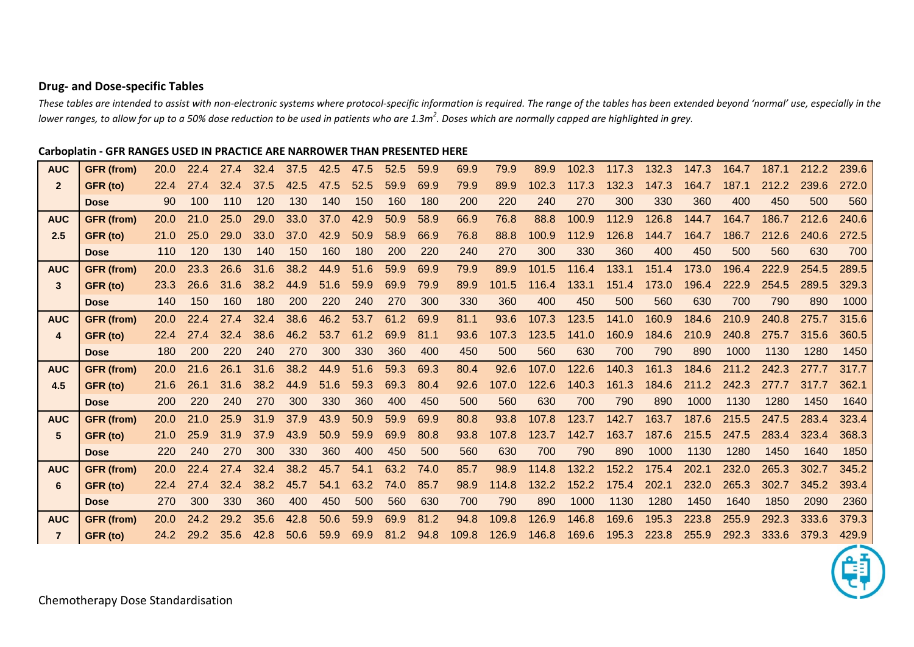# **Drug- and Dose-specific Tables**

*These tables are intended to assist with non-electronic systems where protocol-specific information is required. The range of the tables has been extended beyond 'normal' use, especially in the lower ranges, to allow for up to a 50% dose reduction to be used in patients who are 1.3m<sup>2</sup> . Doses which are normally capped are highlighted in grey.*

## **Carboplatin - GFR RANGES USED IN PRACTICE ARE NARROWER THAN PRESENTED HERE**

| <b>AUC</b>      | <b>GFR</b> (from) | <b>20.0</b> | 22.4 | 27.4 | 32.4 | 37.5 | 42.5 | 47.5 | 52.5 | 59.9 | 69.9  | 79.9  | 89.9  | 102.3 | 117.3 | 132.3 | 147.3 | 164.7 | 187.1 | 212.2 | 239.6 |
|-----------------|-------------------|-------------|------|------|------|------|------|------|------|------|-------|-------|-------|-------|-------|-------|-------|-------|-------|-------|-------|
| $\overline{2}$  | GFR (to)          | 22.4        | 27.4 | 32.4 | 37.5 | 42.5 | 47.5 | 52.5 | 59.9 | 69.9 | 79.9  | 89.9  | 102.3 | 117.3 | 132.3 | 147.3 | 164.7 | 187.1 | 212.2 | 239.6 | 272.0 |
|                 | <b>Dose</b>       | 90          | 100  | 110  | 120  | 130  | 140  | 150  | 160  | 180  | 200   | 220   | 240   | 270   | 300   | 330   | 360   | 400   | 450   | 500   | 560   |
| <b>AUC</b>      | <b>GFR</b> (from) | <b>20.0</b> | 21.0 | 25.0 | 29.0 | 33.0 | 37.0 | 42.9 | 50.9 | 58.9 | 66.9  | 76.8  | 88.8  | 100.9 | 112.9 | 126.8 | 144.7 | 164.7 | 186.7 | 212.6 | 240.6 |
| 2.5             | GFR (to)          | 21.0        | 25.0 | 29.0 | 33.0 | 37.0 | 42.9 | 50.9 | 58.9 | 66.9 | 76.8  | 88.8  | 100.9 | 112.9 | 126.8 | 144.7 | 164.7 | 186.7 | 212.6 | 240.6 | 272.5 |
|                 | <b>Dose</b>       | 110         | 120  | 130  | 140  | 150  | 160  | 180  | 200  | 220  | 240   | 270   | 300   | 330   | 360   | 400   | 450   | 500   | 560   | 630   | 700   |
| <b>AUC</b>      | <b>GFR</b> (from) | 20.0        | 23.3 | 26.6 | 31.6 | 38.2 | 44.9 | 51.6 | 59.9 | 69.9 | 79.9  | 89.9  | 101.5 | 116.4 | 133.1 | 151.4 | 173.0 | 196.4 | 222.9 | 254.5 | 289.5 |
| 3               | GFR (to)          | 23.3        | 26.6 | 31.6 | 38.2 | 44.9 | 51.6 | 59.9 | 69.9 | 79.9 | 89.9  | 101.5 | 116.4 | 133.1 | 151.4 | 173.0 | 196.4 | 222.9 | 254.5 | 289.5 | 329.3 |
|                 | <b>Dose</b>       | 140         | 150  | 160  | 180  | 200  | 220  | 240  | 270  | 300  | 330   | 360   | 400   | 450   | 500   | 560   | 630   | 700   | 790   | 890   | 1000  |
| <b>AUC</b>      | <b>GFR</b> (from) | 20.0        | 22.4 | 27.4 | 32.4 | 38.6 | 46.2 | 53.7 | 61.2 | 69.9 | 81.1  | 93.6  | 107.3 | 123.5 | 141.0 | 160.9 | 184.6 | 210.9 | 240.8 | 275.7 | 315.6 |
| 4               | GFR (to)          | 22.4        | 27.4 | 32.4 | 38.6 | 46.2 | 53.7 | 61.2 | 69.9 | 81.1 | 93.6  | 107.3 | 123.5 | 141.0 | 160.9 | 184.6 | 210.9 | 240.8 | 275.7 | 315.6 | 360.5 |
|                 | <b>Dose</b>       | 180         | 200  | 220  | 240  | 270  | 300  | 330  | 360  | 400  | 450   | 500   | 560   | 630   | 700   | 790   | 890   | 1000  | 1130  | 1280  | 1450  |
| <b>AUC</b>      | <b>GFR</b> (from) | <b>20.0</b> | 21.6 | 26.1 | 31.6 | 38.2 | 44.9 | 51.6 | 59.3 | 69.3 | 80.4  | 92.6  | 107.0 | 122.6 | 140.3 | 161.3 | 184.6 | 211.2 | 242.3 | 277.7 | 317.7 |
| 4.5             | GFR (to)          | 21.6        | 26.1 | 31.6 | 38.2 | 44.9 | 51.6 | 59.3 | 69.3 | 80.4 | 92.6  | 107.0 | 122.6 | 140.3 | 161.3 | 184.6 | 211.2 | 242.3 | 277.7 | 317.7 | 362.1 |
|                 | <b>Dose</b>       | 200         | 220  | 240  | 270  | 300  | 330  | 360  | 400  | 450  | 500   | 560   | 630   | 700   | 790   | 890   | 1000  | 1130  | 1280  | 1450  | 1640  |
| <b>AUC</b>      | <b>GFR</b> (from) | 20.0        | 21.0 | 25.9 | 31.9 | 37.9 | 43.9 | 50.9 | 59.9 | 69.9 | 80.8  | 93.8  | 107.8 | 123.7 | 142.7 | 163.7 | 187.6 | 215.5 | 247.5 | 283.4 | 323.4 |
| $5\phantom{.0}$ | GFR (to)          | 21.0        | 25.9 | 31.9 | 37.9 | 43.9 | 50.9 | 59.9 | 69.9 | 80.8 | 93.8  | 107.8 | 123.7 | 142.7 | 163.7 | 187.6 | 215.5 | 247.5 | 283.4 | 323.4 | 368.3 |
|                 | <b>Dose</b>       | 220         | 240  | 270  | 300  | 330  | 360  | 400  | 450  | 500  | 560   | 630   | 700   | 790   | 890   | 1000  | 1130  | 1280  | 1450  | 1640  | 1850  |
| <b>AUC</b>      | <b>GFR</b> (from) | 20.0        | 22.4 | 27.4 | 32.4 | 38.2 | 45.7 | 54.1 | 63.2 | 74.0 | 85.7  | 98.9  | 114.8 | 132.2 | 152.2 | 175.4 | 202.1 | 232.0 | 265.3 | 302.7 | 345.2 |
| 6               | GFR (to)          | 22.4        | 27.4 | 32.4 | 38.2 | 45.7 | 54.1 | 63.2 | 74.0 | 85.7 | 98.9  | 114.8 | 132.2 | 152.2 | 175.4 | 202.1 | 232.0 | 265.3 | 302.7 | 345.2 | 393.4 |
|                 | <b>Dose</b>       | 270         | 300  | 330  | 360  | 400  | 450  | 500  | 560  | 630  | 700   | 790   | 890   | 1000  | 1130  | 1280  | 1450  | 1640  | 1850  | 2090  | 2360  |
| <b>AUC</b>      | <b>GFR</b> (from) | 20.0        | 24.2 | 29.2 | 35.6 | 42.8 | 50.6 | 59.9 | 69.9 | 81.2 | 94.8  | 109.8 | 126.9 | 146.8 | 169.6 | 195.3 | 223.8 | 255.9 | 292.3 | 333.6 | 379.3 |
|                 | GFR (to)          | 24.2        | 29.2 | 35.6 | 42.8 | 50.6 | 59.9 | 69.9 | 81.2 | 94.8 | 109.8 | 126.9 | 146.8 | 169.6 | 195.3 | 223.8 | 255.9 | 292.3 | 333.6 | 379.3 | 429.9 |

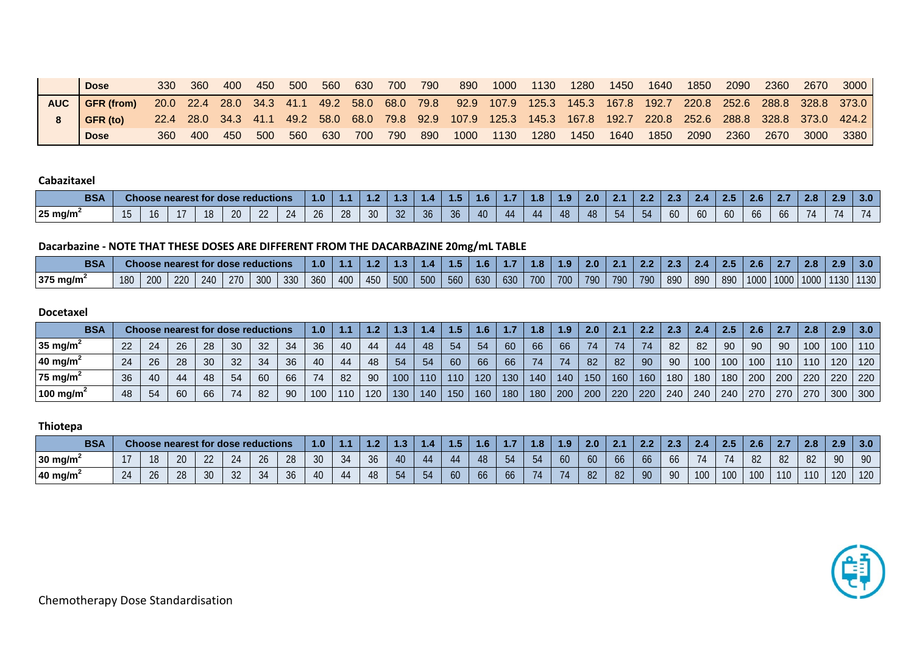|            | <b>Dose</b>       | 330 | 360 | 400 | 450 | - 500 | - 560 | 630 | 700 | 790   | 890 | 1000      | 1130 | 1280 | 1450 | 1640 | 1850 | 2090 | 2360 | 2670      | 3000                                                                                                           |
|------------|-------------------|-----|-----|-----|-----|-------|-------|-----|-----|-------|-----|-----------|------|------|------|------|------|------|------|-----------|----------------------------------------------------------------------------------------------------------------|
| <b>AUC</b> | <b>GFR</b> (from) |     |     |     |     |       |       |     |     |       |     |           |      |      |      |      |      |      |      |           | 20.0 22.4 28.0 34.3 41.1 49.2 58.0 68.0 79.8 92.9 107.9 125.3 145.3 167.8 192.7 220.8 252.6 288.8 328.8 373.0  |
|            | GFR (to)          |     |     |     |     |       |       |     |     |       |     |           |      |      |      |      |      |      |      |           | 22.4 28.0 34.3 41.1 49.2 58.0 68.0 79.8 92.9 107.9 125.3 145.3 167.8 192.7 220.8 252.6 288.8 328.8 373.0 424.2 |
|            | <b>Dose</b>       | 360 | 400 | 450 | 500 | - 560 | 630   | 700 | 790 | - 890 |     | 1000 1130 | 1280 | 1450 | 1640 | 1850 | 2090 | 2360 |      | 2670 3000 | 3380                                                                                                           |

#### **Cabazitaxel**

| <b>BSA</b>        | anoos a | se nearest for | <b>dose reductions</b> |    |                      | 4.U           | .  | .               | . .             | <b>STATISTICS</b> | 4 O | . | 1.0 | a<br><b>STATISTICS</b> | 2.0 |  | <b>STATISTICS</b> | <u>д</u>   |    | <b>Z.O</b> | .  | 2.O | -4.7 | 3.0 <sub>1</sub> |
|-------------------|---------|----------------|------------------------|----|----------------------|---------------|----|-----------------|-----------------|-------------------|-----|---|-----|------------------------|-----|--|-------------------|------------|----|------------|----|-----|------|------------------|
| $25 \text{ mg/m}$ | 10      |                | $\Omega$<br>$\lambda$  | -- | $\prime\prime\prime$ | $\sim$<br>,,, | 28 | 30 <sup>°</sup> | $\Omega$<br>-32 | .30               | 40  |   | 44. | 48                     |     |  | 0U                | $\sqrt{2}$ | 60 | <b>66</b>  | oc |     |      |                  |

# **Dacarbazine - NOTE THAT THESE DOSES ARE DIFFERENT FROM THE DACARBAZINE 20mg/mL TABLE**

| <b>BSA</b> |     |     | <b>Choose nearest for dose reductions</b> |     |     |     |     | 1.0 | .   | 4.Z | 1.0 |     | 4 D | ٦.Ο |     | 1.8 | $\overline{1.9}$ | 2.0 | 2.1 | 2.2 | $2.3^{\circ}$ | $2\Delta$ |     | 2.6  | . .  | 2.8  | 2.9  | 3.0               |
|------------|-----|-----|-------------------------------------------|-----|-----|-----|-----|-----|-----|-----|-----|-----|-----|-----|-----|-----|------------------|-----|-----|-----|---------------|-----------|-----|------|------|------|------|-------------------|
| 375 mg/m   | 180 | 200 | 220                                       | 240 | 270 | 300 | 330 | 360 | 400 | 450 | 500 | 500 | 560 | 630 | 630 | 700 | 700              | 790 | 790 | 790 | 890           | 890       | 890 | 1000 | 1000 | 1000 | 1130 | 1130 <sub>1</sub> |

#### **Docetaxel**

| <b>BSA</b>            |    |    |    |    |    | <b>Choose nearest for dose reductions</b> |     | 1.0 |     | 1 <sup>2</sup> | 1.3 |                  |     | 1.6 |     | 1.8 | $1.9-$     | 2.0 | 2.1 | 2.2 | 2.3 |                  | 2.5 | 2.6              | -2.7 | 2.8 | 2.9 | 3.0       |
|-----------------------|----|----|----|----|----|-------------------------------------------|-----|-----|-----|----------------|-----|------------------|-----|-----|-----|-----|------------|-----|-----|-----|-----|------------------|-----|------------------|------|-----|-----|-----------|
| 35 mg/m <sup>2</sup>  | 22 | 24 | 26 | 28 | 30 | 32 <sup>°</sup>                           | -34 | 36  | 40  | -44            | 44  | 48               | 54  | -54 | 60  | 66  | 66         | 74  | 74  | 74  | -82 | -82              | 90  | -90              | 90   | 100 | 100 | 110       |
| 40 mg/m <sup>2</sup>  | 24 | 26 | 28 | 30 | 32 | 34                                        | -36 | 40  | 44  | 48             | 54  | 54               | 60  | 66  | 66  | 74  | 74         | 82  | -82 | 90  | 90  | 100 <sub>1</sub> | 100 | 100 <sup>°</sup> | 110  | 110 | 120 | 120       |
| 75 mg/m <sup>2</sup>  | 36 | 40 | 44 | 48 | 54 | 60                                        | 66  |     | 82  | 90             | 100 | 110 <sub>1</sub> | 110 | 120 | 130 | 140 | 140        | 150 | 160 | 160 | 180 | 180 <sub>1</sub> | 180 | 200              | 200  | 220 |     | $220$ 220 |
| 100 mg/m <sup>2</sup> | 48 | 54 | 60 | 66 | 74 | 82                                        | 90  | 100 | 110 | 120            | 130 | 140.             | 150 | 160 | 180 | 180 | $200 \mid$ | 200 | 220 | 220 | 240 | 240              | 240 | $270 \text{ }$   | 270  | 270 | 300 | 300       |

## **Thiotepa**

| <b>BSA</b>           | <b>Choose nearest for dose reductions</b><br>24<br>26<br>I O |    |    |                |  |    | 1.0            |              | . . | . | a sa san |    | .         | <b></b>                          | 4.97 | 2.0 |    |    | . . | œ   | 45  |     | $\sim$ $\sim$<br><b>AND 18</b> | . ര<br>2.0 | າ ດ | 3.0 |
|----------------------|--------------------------------------------------------------|----|----|----------------|--|----|----------------|--------------|-----|---|----------|----|-----------|----------------------------------|------|-----|----|----|-----|-----|-----|-----|--------------------------------|------------|-----|-----|
| 30 mg/m <sup>2</sup> |                                                              |    |    |                |  | ۷ŏ | $\Omega$<br>3U | $\sim$<br>30 | 40  |   |          | 48 | 54        |                                  | 60   | 60  |    | oo | 00  |     | 71  | 82  | 82                             |            | 90  | 90  |
| 40 mg/m <sup>2</sup> | $\sim$<br>20                                                 | 28 | 30 | $\Omega$<br>JZ |  | 30 |                | 48           | 54  |   | 60       | 66 | <b>OO</b> | $\overline{ }$<br>$\overline{I}$ |      | 82  | 82 | 90 | 90  | 100 | 100 | 100 | 110                            | 110        | 120 | 120 |